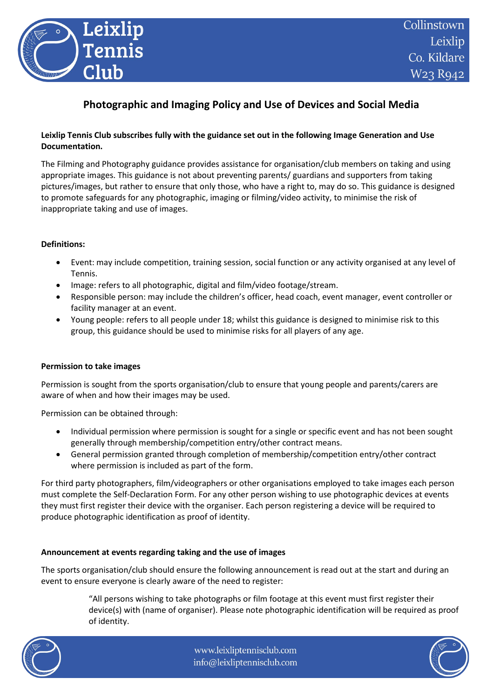

# **Photographic and Imaging Policy and Use of Devices and Social Media**

# **Leixlip Tennis Club subscribes fully with the guidance set out in the following Image Generation and Use Documentation.**

The Filming and Photography guidance provides assistance for organisation/club members on taking and using appropriate images. This guidance is not about preventing parents/ guardians and supporters from taking pictures/images, but rather to ensure that only those, who have a right to, may do so. This guidance is designed to promote safeguards for any photographic, imaging or filming/video activity, to minimise the risk of inappropriate taking and use of images.

## **Definitions:**

- Event: may include competition, training session, social function or any activity organised at any level of Tennis.
- Image: refers to all photographic, digital and film/video footage/stream.
- Responsible person: may include the children's officer, head coach, event manager, event controller or facility manager at an event.
- Young people: refers to all people under 18; whilst this guidance is designed to minimise risk to this group, this guidance should be used to minimise risks for all players of any age.

#### **Permission to take images**

Permission is sought from the sports organisation/club to ensure that young people and parents/carers are aware of when and how their images may be used.

Permission can be obtained through:

- Individual permission where permission is sought for a single or specific event and has not been sought generally through membership/competition entry/other contract means.
- General permission granted through completion of membership/competition entry/other contract where permission is included as part of the form.

For third party photographers, film/videographers or other organisations employed to take images each person must complete the Self-Declaration Form. For any other person wishing to use photographic devices at events they must first register their device with the organiser. Each person registering a device will be required to produce photographic identification as proof of identity.

#### **Announcement at events regarding taking and the use of images**

The sports organisation/club should ensure the following announcement is read out at the start and during an event to ensure everyone is clearly aware of the need to register:

> "All persons wishing to take photographs or film footage at this event must first register their device(s) with (name of organiser). Please note photographic identification will be required as proof of identity.



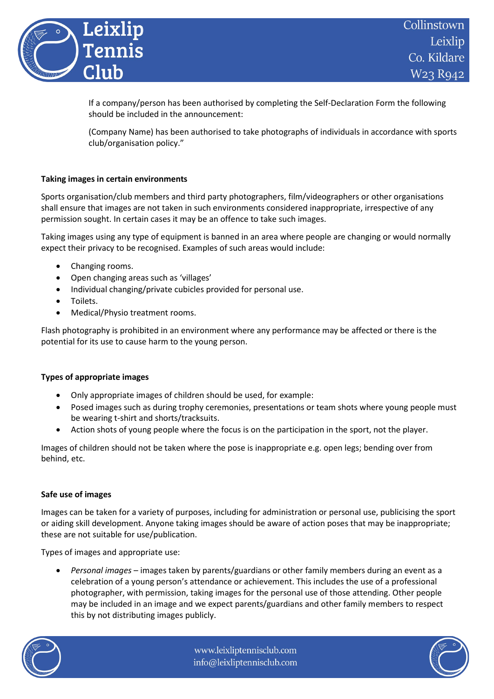

If a company/person has been authorised by completing the Self-Declaration Form the following should be included in the announcement:

(Company Name) has been authorised to take photographs of individuals in accordance with sports club/organisation policy."

# **Taking images in certain environments**

Sports organisation/club members and third party photographers, film/videographers or other organisations shall ensure that images are not taken in such environments considered inappropriate, irrespective of any permission sought. In certain cases it may be an offence to take such images.

Taking images using any type of equipment is banned in an area where people are changing or would normally expect their privacy to be recognised. Examples of such areas would include:

- Changing rooms.
- Open changing areas such as 'villages'
- Individual changing/private cubicles provided for personal use.
- Toilets.
- Medical/Physio treatment rooms.

Flash photography is prohibited in an environment where any performance may be affected or there is the potential for its use to cause harm to the young person.

#### **Types of appropriate images**

- Only appropriate images of children should be used, for example:
- Posed images such as during trophy ceremonies, presentations or team shots where young people must be wearing t-shirt and shorts/tracksuits.
- Action shots of young people where the focus is on the participation in the sport, not the player.

Images of children should not be taken where the pose is inappropriate e.g. open legs; bending over from behind, etc.

#### **Safe use of images**

Images can be taken for a variety of purposes, including for administration or personal use, publicising the sport or aiding skill development. Anyone taking images should be aware of action poses that may be inappropriate; these are not suitable for use/publication.

Types of images and appropriate use:

• *Personal images* – images taken by parents/guardians or other family members during an event as a celebration of a young person's attendance or achievement. This includes the use of a professional photographer, with permission, taking images for the personal use of those attending. Other people may be included in an image and we expect parents/guardians and other family members to respect this by not distributing images publicly.



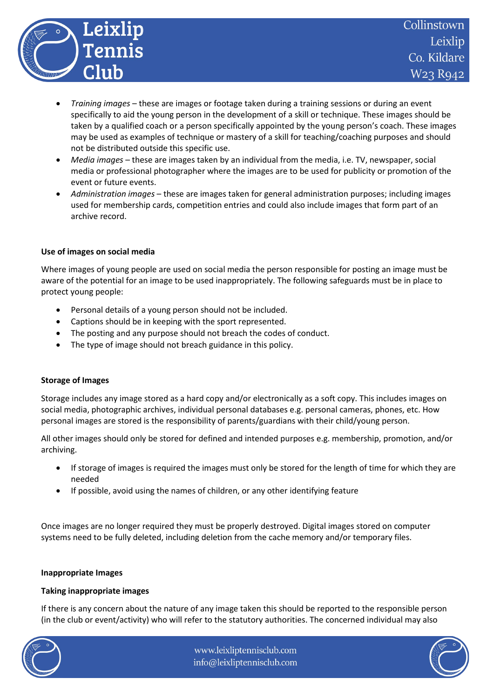

- *Training images* these are images or footage taken during a training sessions or during an event specifically to aid the young person in the development of a skill or technique. These images should be taken by a qualified coach or a person specifically appointed by the young person's coach. These images may be used as examples of technique or mastery of a skill for teaching/coaching purposes and should not be distributed outside this specific use.
- *Media images* these are images taken by an individual from the media, i.e. TV, newspaper, social media or professional photographer where the images are to be used for publicity or promotion of the event or future events.
- *Administration images* these are images taken for general administration purposes; including images used for membership cards, competition entries and could also include images that form part of an archive record.

## **Use of images on social media**

Where images of young people are used on social media the person responsible for posting an image must be aware of the potential for an image to be used inappropriately. The following safeguards must be in place to protect young people:

- Personal details of a young person should not be included.
- Captions should be in keeping with the sport represented.
- The posting and any purpose should not breach the codes of conduct.
- The type of image should not breach guidance in this policy.

# **Storage of Images**

Storage includes any image stored as a hard copy and/or electronically as a soft copy. This includes images on social media, photographic archives, individual personal databases e.g. personal cameras, phones, etc. How personal images are stored is the responsibility of parents/guardians with their child/young person.

All other images should only be stored for defined and intended purposes e.g. membership, promotion, and/or archiving.

- If storage of images is required the images must only be stored for the length of time for which they are needed
- If possible, avoid using the names of children, or any other identifying feature

Once images are no longer required they must be properly destroyed. Digital images stored on computer systems need to be fully deleted, including deletion from the cache memory and/or temporary files.

# **Inappropriate Images**

# **Taking inappropriate images**

If there is any concern about the nature of any image taken this should be reported to the responsible person (in the club or event/activity) who will refer to the statutory authorities. The concerned individual may also



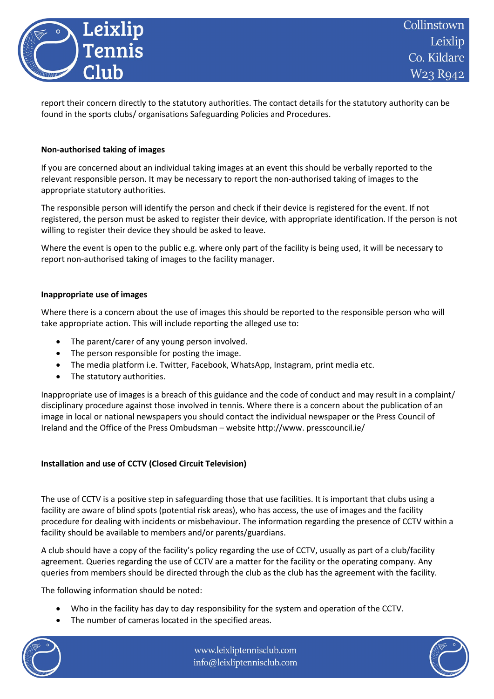

report their concern directly to the statutory authorities. The contact details for the statutory authority can be found in the sports clubs/ organisations Safeguarding Policies and Procedures.

## **Non-authorised taking of images**

If you are concerned about an individual taking images at an event this should be verbally reported to the relevant responsible person. It may be necessary to report the non-authorised taking of images to the appropriate statutory authorities.

The responsible person will identify the person and check if their device is registered for the event. If not registered, the person must be asked to register their device, with appropriate identification. If the person is not willing to register their device they should be asked to leave.

Where the event is open to the public e.g. where only part of the facility is being used, it will be necessary to report non-authorised taking of images to the facility manager.

## **Inappropriate use of images**

Where there is a concern about the use of images this should be reported to the responsible person who will take appropriate action. This will include reporting the alleged use to:

- The parent/carer of any young person involved.
- The person responsible for posting the image.
- The media platform i.e. Twitter, Facebook, WhatsApp, Instagram, print media etc.
- The statutory authorities.

Inappropriate use of images is a breach of this guidance and the code of conduct and may result in a complaint/ disciplinary procedure against those involved in tennis. Where there is a concern about the publication of an image in local or national newspapers you should contact the individual newspaper or the Press Council of Ireland and the Office of the Press Ombudsman – website http://www. presscouncil.ie/

# **Installation and use of CCTV (Closed Circuit Television)**

The use of CCTV is a positive step in safeguarding those that use facilities. It is important that clubs using a facility are aware of blind spots (potential risk areas), who has access, the use of images and the facility procedure for dealing with incidents or misbehaviour. The information regarding the presence of CCTV within a facility should be available to members and/or parents/guardians.

A club should have a copy of the facility's policy regarding the use of CCTV, usually as part of a club/facility agreement. Queries regarding the use of CCTV are a matter for the facility or the operating company. Any queries from members should be directed through the club as the club has the agreement with the facility.

The following information should be noted:

- Who in the facility has day to day responsibility for the system and operation of the CCTV.
- The number of cameras located in the specified areas.



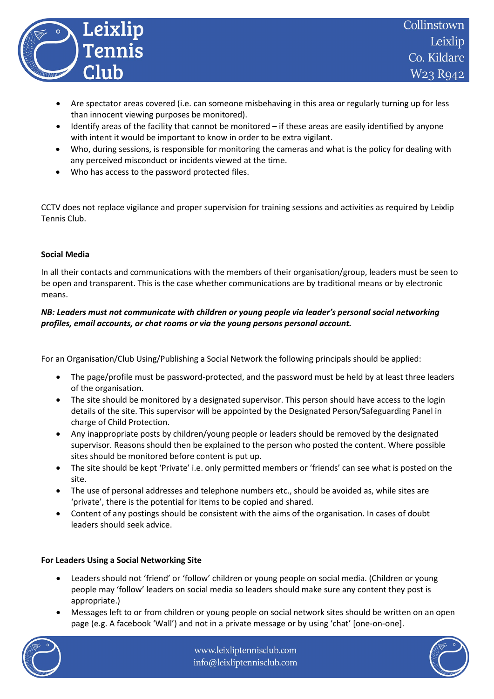

- Are spectator areas covered (i.e. can someone misbehaving in this area or regularly turning up for less than innocent viewing purposes be monitored).
- Identify areas of the facility that cannot be monitored if these areas are easily identified by anyone with intent it would be important to know in order to be extra vigilant.
- Who, during sessions, is responsible for monitoring the cameras and what is the policy for dealing with any perceived misconduct or incidents viewed at the time.
- Who has access to the password protected files.

CCTV does not replace vigilance and proper supervision for training sessions and activities as required by Leixlip Tennis Club.

# **Social Media**

In all their contacts and communications with the members of their organisation/group, leaders must be seen to be open and transparent. This is the case whether communications are by traditional means or by electronic means.

# *NB: Leaders must not communicate with children or young people via leader's personal social networking profiles, email accounts, or chat rooms or via the young persons personal account.*

For an Organisation/Club Using/Publishing a Social Network the following principals should be applied:

- The page/profile must be password-protected, and the password must be held by at least three leaders of the organisation.
- The site should be monitored by a designated supervisor. This person should have access to the login details of the site. This supervisor will be appointed by the Designated Person/Safeguarding Panel in charge of Child Protection.
- Any inappropriate posts by children/young people or leaders should be removed by the designated supervisor. Reasons should then be explained to the person who posted the content. Where possible sites should be monitored before content is put up.
- The site should be kept 'Private' i.e. only permitted members or 'friends' can see what is posted on the site.
- The use of personal addresses and telephone numbers etc., should be avoided as, while sites are 'private', there is the potential for items to be copied and shared.
- Content of any postings should be consistent with the aims of the organisation. In cases of doubt leaders should seek advice.

# **For Leaders Using a Social Networking Site**

- Leaders should not 'friend' or 'follow' children or young people on social media. (Children or young people may 'follow' leaders on social media so leaders should make sure any content they post is appropriate.)
- Messages left to or from children or young people on social network sites should be written on an open page (e.g. A facebook 'Wall') and not in a private message or by using 'chat' [one-on-one].



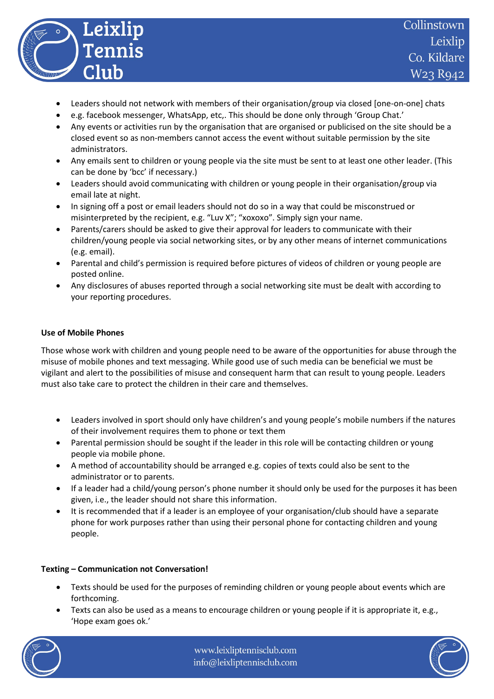

- Leaders should not network with members of their organisation/group via closed [one-on-one] chats
- e.g. facebook messenger, WhatsApp, etc,. This should be done only through 'Group Chat.'
- Any events or activities run by the organisation that are organised or publicised on the site should be a closed event so as non-members cannot access the event without suitable permission by the site administrators.
- Any emails sent to children or young people via the site must be sent to at least one other leader. (This can be done by 'bcc' if necessary.)
- Leaders should avoid communicating with children or young people in their organisation/group via email late at night.
- In signing off a post or email leaders should not do so in a way that could be misconstrued or misinterpreted by the recipient, e.g. "Luv X"; "xoxoxo". Simply sign your name.
- Parents/carers should be asked to give their approval for leaders to communicate with their children/young people via social networking sites, or by any other means of internet communications (e.g. email).
- Parental and child's permission is required before pictures of videos of children or young people are posted online.
- Any disclosures of abuses reported through a social networking site must be dealt with according to your reporting procedures.

## **Use of Mobile Phones**

Those whose work with children and young people need to be aware of the opportunities for abuse through the misuse of mobile phones and text messaging. While good use of such media can be beneficial we must be vigilant and alert to the possibilities of misuse and consequent harm that can result to young people. Leaders must also take care to protect the children in their care and themselves.

- Leaders involved in sport should only have children's and young people's mobile numbers if the natures of their involvement requires them to phone or text them
- Parental permission should be sought if the leader in this role will be contacting children or young people via mobile phone.
- A method of accountability should be arranged e.g. copies of texts could also be sent to the administrator or to parents.
- If a leader had a child/young person's phone number it should only be used for the purposes it has been given, i.e., the leader should not share this information.
- It is recommended that if a leader is an employee of your organisation/club should have a separate phone for work purposes rather than using their personal phone for contacting children and young people.

# **Texting – Communication not Conversation!**

- Texts should be used for the purposes of reminding children or young people about events which are forthcoming.
- Texts can also be used as a means to encourage children or young people if it is appropriate it, e.g., 'Hope exam goes ok.'



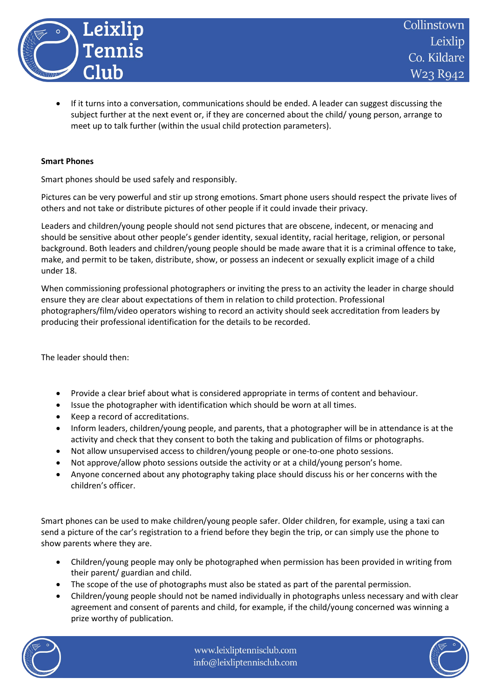

• If it turns into a conversation, communications should be ended. A leader can suggest discussing the subject further at the next event or, if they are concerned about the child/ young person, arrange to meet up to talk further (within the usual child protection parameters).

## **Smart Phones**

Smart phones should be used safely and responsibly.

Pictures can be very powerful and stir up strong emotions. Smart phone users should respect the private lives of others and not take or distribute pictures of other people if it could invade their privacy.

Leaders and children/young people should not send pictures that are obscene, indecent, or menacing and should be sensitive about other people's gender identity, sexual identity, racial heritage, religion, or personal background. Both leaders and children/young people should be made aware that it is a criminal offence to take, make, and permit to be taken, distribute, show, or possess an indecent or sexually explicit image of a child under 18.

When commissioning professional photographers or inviting the press to an activity the leader in charge should ensure they are clear about expectations of them in relation to child protection. Professional photographers/film/video operators wishing to record an activity should seek accreditation from leaders by producing their professional identification for the details to be recorded.

The leader should then:

- Provide a clear brief about what is considered appropriate in terms of content and behaviour.
- Issue the photographer with identification which should be worn at all times.
- Keep a record of accreditations.
- Inform leaders, children/young people, and parents, that a photographer will be in attendance is at the activity and check that they consent to both the taking and publication of films or photographs.
- Not allow unsupervised access to children/young people or one-to-one photo sessions.
- Not approve/allow photo sessions outside the activity or at a child/young person's home.
- Anyone concerned about any photography taking place should discuss his or her concerns with the children's officer.

Smart phones can be used to make children/young people safer. Older children, for example, using a taxi can send a picture of the car's registration to a friend before they begin the trip, or can simply use the phone to show parents where they are.

- Children/young people may only be photographed when permission has been provided in writing from their parent/ guardian and child.
- The scope of the use of photographs must also be stated as part of the parental permission.
- Children/young people should not be named individually in photographs unless necessary and with clear agreement and consent of parents and child, for example, if the child/young concerned was winning a prize worthy of publication.